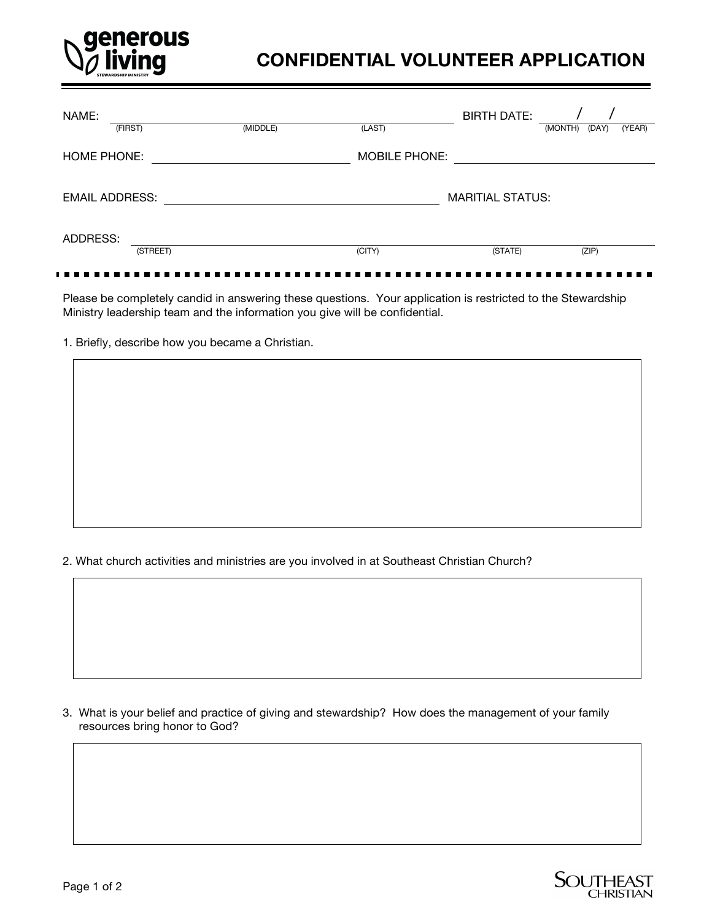

# **CONFIDENTIAL VOLUNTEER APPLICATION**

| NAME:                 |          |          |                      | <b>BIRTH DATE:</b>      |         |       |                          |
|-----------------------|----------|----------|----------------------|-------------------------|---------|-------|--------------------------|
| (FIRST)               |          | (MIDDLE) | (LAST)               |                         | (MONTH) | (DAY) | (YEAR)                   |
| HOME PHONE:           |          |          | <b>MOBILE PHONE:</b> |                         |         |       |                          |
| <b>EMAIL ADDRESS:</b> |          |          |                      | <b>MARITIAL STATUS:</b> |         |       | $\overline{\phantom{0}}$ |
| ADDRESS:              | (STREET) |          | (CITY)               | (STATE)                 |         | (ZIP) |                          |

Please be completely candid in answering these questions. Your application is restricted to the Stewardship Ministry leadership team and the information you give will be confidential.

1. Briefly, describe how you became a Christian.

2. What church activities and ministries are you involved in at Southeast Christian Church?

3. What is your belief and practice of giving and stewardship? How does the management of your family resources bring honor to God?

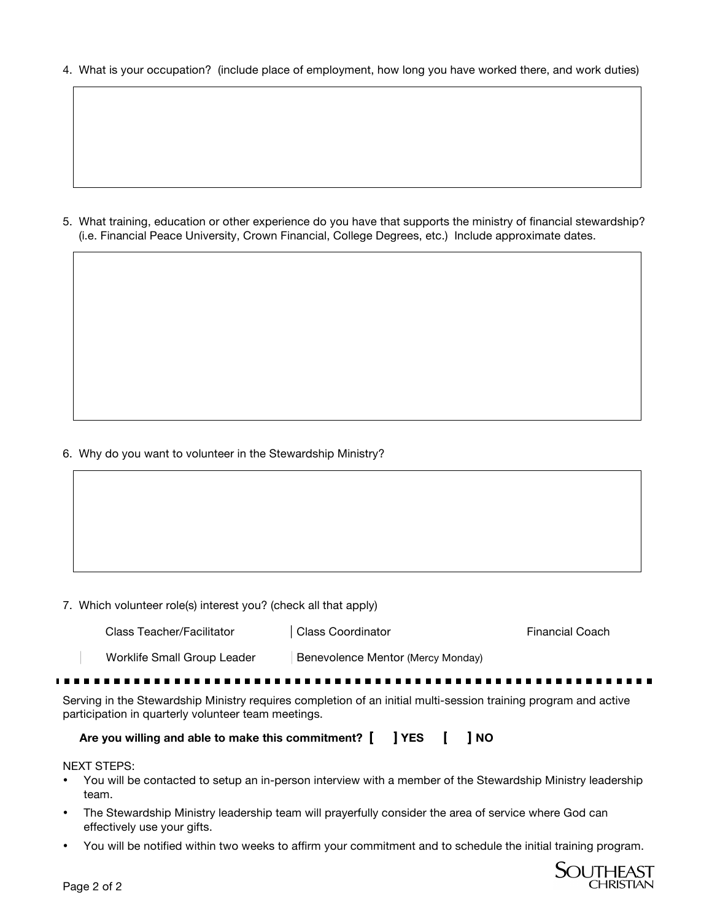4. What is your occupation? (include place of employment, how long you have worked there, and work duties)

5. What training, education or other experience do you have that supports the ministry of financial stewardship? (i.e. Financial Peace University, Crown Financial, College Degrees, etc.) Include approximate dates.

#### 6. Why do you want to volunteer in the Stewardship Ministry?

|  |  |  |  |  |  |  | 7. Which volunteer role(s) interest you? (check all that apply) |
|--|--|--|--|--|--|--|-----------------------------------------------------------------|
|--|--|--|--|--|--|--|-----------------------------------------------------------------|

| Class Teacher/Facilitator   | Class Coordinator                 | Financial Coach |
|-----------------------------|-----------------------------------|-----------------|
| Worklife Small Group Leader | Benevolence Mentor (Mercy Monday) |                 |
|                             |                                   |                 |

Serving in the Stewardship Ministry requires completion of an initial multi-session training program and active participation in quarterly volunteer team meetings.

**Are you willing and able to make this commitment? [ ] YES [ ] NO** 

#### NEXT STEPS:

- You will be contacted to setup an in-person interview with a member of the Stewardship Ministry leadership team.
- The Stewardship Ministry leadership team will prayerfully consider the area of service where God can effectively use your gifts.
- You will be notified within two weeks to affirm your commitment and to schedule the initial training program.

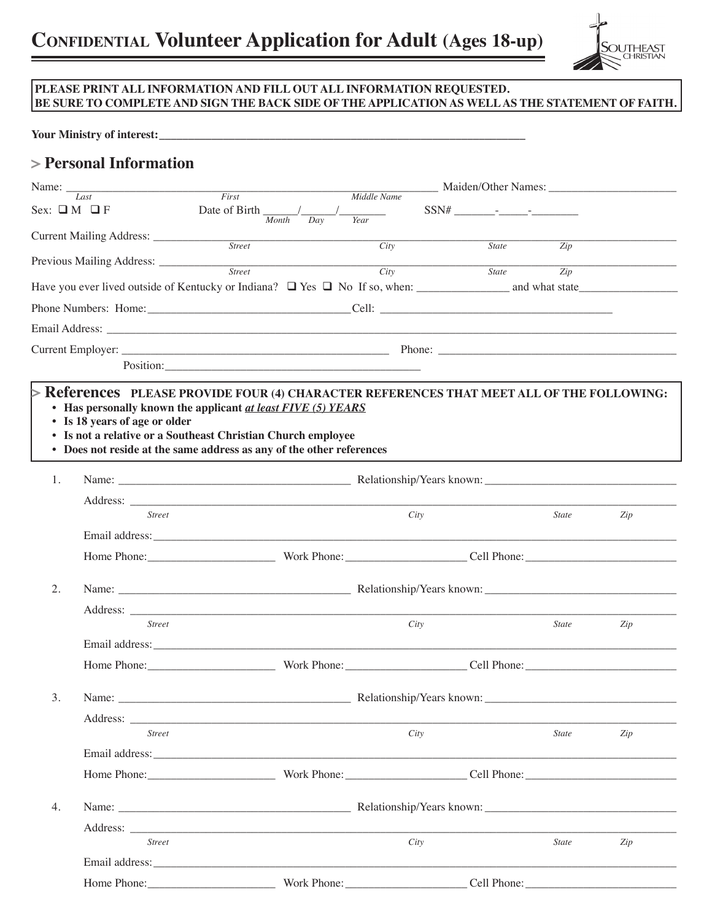

### **PLEASE PRINT ALL INFORMATION AND FILL OUT ALL INFORMATION REQUESTED. BE SURE TO COMPLETE AND SIGN THE BACK SIDE OF THE APPLICATION AS WELL AS THE STATEMENT OF FAITH.**

#### Your Ministry of interest:

## **> Personal Information**

| Name: $\frac{1}{\sqrt{2}}$ |                                       |                                                                                                                                                                                                                                |                                                 |                                                                                                    |                  |     |  |
|----------------------------|---------------------------------------|--------------------------------------------------------------------------------------------------------------------------------------------------------------------------------------------------------------------------------|-------------------------------------------------|----------------------------------------------------------------------------------------------------|------------------|-----|--|
|                            | Last<br>Sex: $\Box M \Box F$          | First<br>Date of Birth $\frac{1}{Month}$<br>Day                                                                                                                                                                                | Middle Name<br>Year                             | $SSN# \underbrace{\qquad \qquad }_{\qquad \qquad }= \underbrace{\qquad \qquad }_{\qquad \qquad }=$ |                  |     |  |
|                            | Current Mailing Address: ____________ | <b>Street</b>                                                                                                                                                                                                                  | City                                            | <b>State</b>                                                                                       | Zip              |     |  |
|                            |                                       | Previous Mailing Address: Street Street City                                                                                                                                                                                   |                                                 |                                                                                                    |                  |     |  |
|                            |                                       |                                                                                                                                                                                                                                |                                                 | <b>State</b>                                                                                       | $\overline{Zip}$ |     |  |
|                            |                                       |                                                                                                                                                                                                                                |                                                 |                                                                                                    |                  |     |  |
|                            |                                       |                                                                                                                                                                                                                                |                                                 |                                                                                                    |                  |     |  |
|                            |                                       |                                                                                                                                                                                                                                |                                                 |                                                                                                    |                  |     |  |
|                            |                                       |                                                                                                                                                                                                                                |                                                 |                                                                                                    |                  |     |  |
|                            | • Is 18 years of age or older         | • Is not a relative or a Southeast Christian Church employee<br>• Does not reside at the same address as any of the other references                                                                                           |                                                 |                                                                                                    |                  |     |  |
| 1.                         |                                       |                                                                                                                                                                                                                                |                                                 |                                                                                                    |                  |     |  |
|                            | <b>Street</b>                         |                                                                                                                                                                                                                                |                                                 |                                                                                                    |                  |     |  |
|                            |                                       |                                                                                                                                                                                                                                | City                                            |                                                                                                    | <i>State</i>     | Zip |  |
|                            |                                       |                                                                                                                                                                                                                                |                                                 |                                                                                                    |                  |     |  |
| 2.                         |                                       |                                                                                                                                                                                                                                |                                                 |                                                                                                    |                  |     |  |
|                            |                                       |                                                                                                                                                                                                                                |                                                 |                                                                                                    |                  |     |  |
|                            | <b>Street</b>                         |                                                                                                                                                                                                                                | City                                            |                                                                                                    | <b>State</b>     | Zip |  |
|                            |                                       |                                                                                                                                                                                                                                |                                                 |                                                                                                    |                  |     |  |
|                            |                                       |                                                                                                                                                                                                                                | Home Phone: Work Phone: Cell Phone: Cell Phone: |                                                                                                    |                  |     |  |
|                            |                                       |                                                                                                                                                                                                                                |                                                 |                                                                                                    |                  |     |  |
| 3.                         | Name: $\_\_$                          | Relationship/Years known:                                                                                                                                                                                                      |                                                 |                                                                                                    |                  |     |  |
|                            |                                       |                                                                                                                                                                                                                                |                                                 |                                                                                                    |                  |     |  |
|                            | <b>Street</b>                         |                                                                                                                                                                                                                                | City                                            |                                                                                                    | <b>State</b>     | Zip |  |
|                            |                                       |                                                                                                                                                                                                                                |                                                 |                                                                                                    |                  |     |  |
|                            |                                       |                                                                                                                                                                                                                                |                                                 |                                                                                                    |                  |     |  |
| 4.                         |                                       | Name: Relationship/Years known:                                                                                                                                                                                                |                                                 |                                                                                                    |                  |     |  |
|                            |                                       | Address: the contract of the contract of the contract of the contract of the contract of the contract of the contract of the contract of the contract of the contract of the contract of the contract of the contract of the c |                                                 |                                                                                                    |                  |     |  |
|                            | <b>Street</b>                         |                                                                                                                                                                                                                                | City                                            |                                                                                                    | <b>State</b>     | Zip |  |
|                            |                                       |                                                                                                                                                                                                                                |                                                 |                                                                                                    |                  |     |  |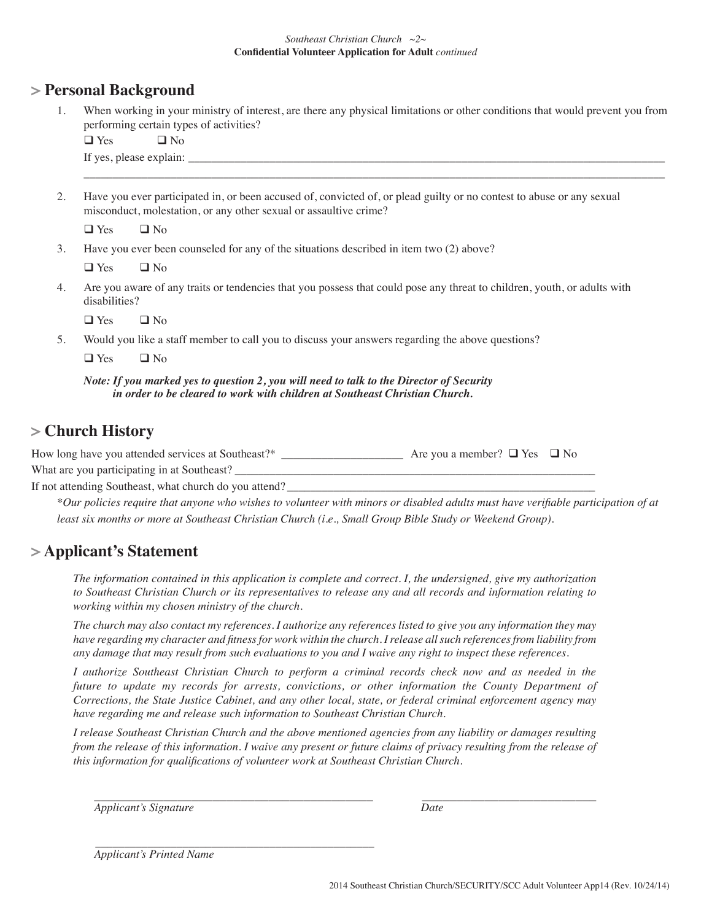#### *Southeast Christian Church ~2~* **Confdential Volunteer Application for Adult** *continued*

### **> Personal Background**

1. When working in your ministry of interest, are there any physical limitations or other conditions that would prevent you from performing certain types of activities?

 $\Box$  Yes  $\Box$  No

If yes, please explain: \_\_\_\_\_\_\_\_\_\_\_\_\_\_\_\_\_\_\_\_\_\_\_\_\_\_\_\_\_\_\_\_\_\_\_\_\_\_\_\_\_\_\_\_\_\_\_\_\_\_\_\_\_\_\_\_\_\_\_\_\_\_\_\_\_\_\_\_\_\_\_\_\_\_\_\_\_\_\_\_\_\_

2. Have you ever participated in, or been accused of, convicted of, or plead guilty or no contest to abuse or any sexual misconduct, molestation, or any other sexual or assaultive crime?

\_\_\_\_\_\_\_\_\_\_\_\_\_\_\_\_\_\_\_\_\_\_\_\_\_\_\_\_\_\_\_\_\_\_\_\_\_\_\_\_\_\_\_\_\_\_\_\_\_\_\_\_\_\_\_\_\_\_\_\_\_\_\_\_\_\_\_\_\_\_\_\_\_\_\_\_\_\_\_\_\_\_\_\_\_\_\_\_\_\_\_\_\_\_\_\_\_\_\_\_

 $\Box$  Yes  $\Box$  No

3. Have you ever been counseled for any of the situations described in item two (2) above?

 $\Box$  Yes  $\Box$  No

4. Are you aware of any traits or tendencies that you possess that could pose any threat to children, youth, or adults with disabilities?

 $\Box$  Yes  $\Box$  No

5. Would you like a staff member to call you to discuss your answers regarding the above questions?

 $\Box$  Yes  $\Box$  No

*Note: If you marked yes to question 2, you will need to talk to the Director of Security in order to be cleared to work with children at Southeast Christian Church.* 

## **> Church History**

How long have you attended services at Southeast?\*  $\Box$  Are you a member?  $\Box$  Yes  $\Box$  No

What are you participating in at Southeast?

If not attending Southeast, what church do you attend?

*\*Our policies require that anyone who wishes to volunteer with minors or disabled adults must have verifable participation of at least six months or more at Southeast Christian Church (i.e., Small Group Bible Study or Weekend Group).*

## **> Applicant's Statement**

*The information contained in this application is complete and correct. I, the undersigned, give my authorization to Southeast Christian Church or its representatives to release any and all records and information relating to working within my chosen ministry of the church.* 

*The church may also contact my references. I authorize any references listed to give you any information they may have regarding my character and ftness for work within the church. I release all such references from liability from any damage that may result from such evaluations to you and I waive any right to inspect these references.*

*I authorize Southeast Christian Church to perform a criminal records check now and as needed in the future to update my records for arrests, convictions, or other information the County Department of Corrections, the State Justice Cabinet, and any other local, state, or federal criminal enforcement agency may have regarding me and release such information to Southeast Christian Church.*

*I release Southeast Christian Church and the above mentioned agencies from any liability or damages resulting from the release of this information. I waive any present or future claims of privacy resulting from the release of this information for qualifcations of volunteer work at Southeast Christian Church.*

\_\_\_\_\_\_\_\_\_\_\_\_\_\_\_\_\_\_\_\_\_\_\_\_\_\_\_\_\_\_\_\_\_\_\_\_\_\_\_\_ \_\_\_\_\_\_\_\_\_\_\_\_\_\_\_\_\_\_\_\_\_\_\_\_\_ *Applicant's Signature Date*

\_\_\_\_\_\_\_\_\_\_\_\_\_\_\_\_\_\_\_\_\_\_\_\_\_\_\_\_\_\_\_\_\_\_\_\_\_\_\_\_\_\_\_\_\_\_\_\_ *Applicant's Printed Name*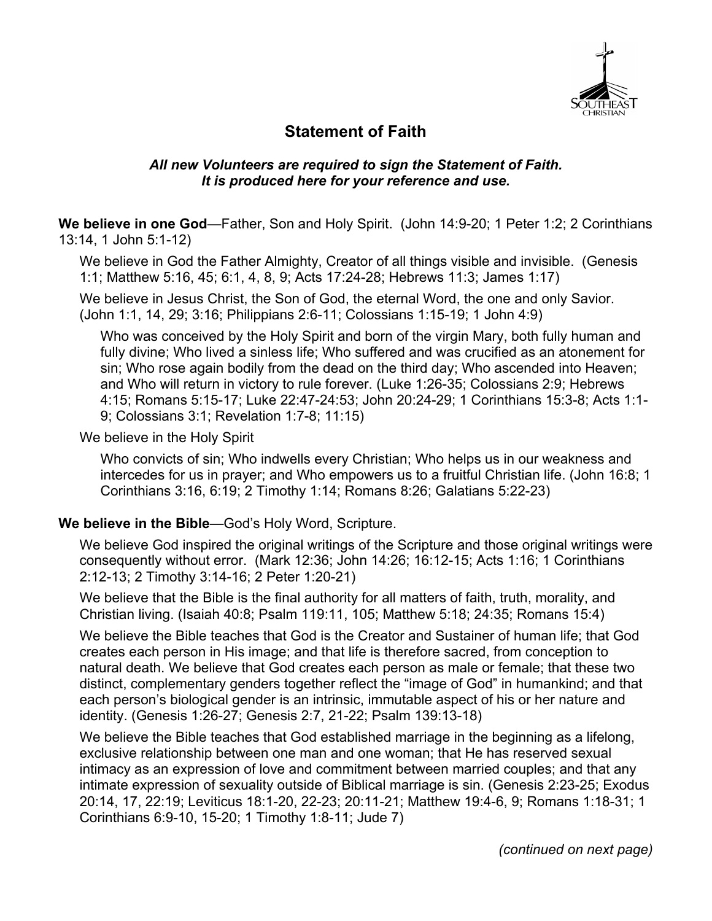

## **Statement of Faith**

### *All new Volunteers are required to sign the Statement of Faith. It is produced here for your reference and use.*

**We believe in one God**—Father, Son and Holy Spirit. (John 14:9-20; 1 Peter 1:2; 2 Corinthians 13:14, 1 John 5:1-12)

We believe in God the Father Almighty, Creator of all things visible and invisible. (Genesis 1:1; Matthew 5:16, 45; 6:1, 4, 8, 9; Acts 17:24-28; Hebrews 11:3; James 1:17)

We believe in Jesus Christ, the Son of God, the eternal Word, the one and only Savior. (John 1:1, 14, 29; 3:16; Philippians 2:6-11; Colossians 1:15-19; 1 John 4:9)

Who was conceived by the Holy Spirit and born of the virgin Mary, both fully human and fully divine; Who lived a sinless life; Who suffered and was crucified as an atonement for sin; Who rose again bodily from the dead on the third day; Who ascended into Heaven; and Who will return in victory to rule forever. (Luke 1:26-35; Colossians 2:9; Hebrews 4:15; Romans 5:15-17; Luke 22:47-24:53; John 20:24-29; 1 Corinthians 15:3-8; Acts 1:1- 9; Colossians 3:1; Revelation 1:7-8; 11:15)

We believe in the Holy Spirit

Who convicts of sin; Who indwells every Christian; Who helps us in our weakness and intercedes for us in prayer; and Who empowers us to a fruitful Christian life. (John 16:8; 1 Corinthians 3:16, 6:19; 2 Timothy 1:14; Romans 8:26; Galatians 5:22-23)

### **We believe in the Bible**—God's Holy Word, Scripture.

We believe God inspired the original writings of the Scripture and those original writings were consequently without error. (Mark 12:36; John 14:26; 16:12-15; Acts 1:16; 1 Corinthians 2:12-13; 2 Timothy 3:14-16; 2 Peter 1:20-21)

We believe that the Bible is the final authority for all matters of faith, truth, morality, and Christian living. (Isaiah 40:8; Psalm 119:11, 105; Matthew 5:18; 24:35; Romans 15:4)

We believe the Bible teaches that God is the Creator and Sustainer of human life; that God creates each person in His image; and that life is therefore sacred, from conception to natural death. We believe that God creates each person as male or female; that these two distinct, complementary genders together reflect the "image of God" in humankind; and that each person's biological gender is an intrinsic, immutable aspect of his or her nature and identity. (Genesis 1:26-27; Genesis 2:7, 21-22; Psalm 139:13-18)

We believe the Bible teaches that God established marriage in the beginning as a lifelong, exclusive relationship between one man and one woman; that He has reserved sexual intimacy as an expression of love and commitment between married couples; and that any intimate expression of sexuality outside of Biblical marriage is sin. (Genesis 2:23-25; Exodus 20:14, 17, 22:19; Leviticus 18:1-20, 22-23; 20:11-21; Matthew 19:4-6, 9; Romans 1:18-31; 1 Corinthians 6:9-10, 15-20; 1 Timothy 1:8-11; Jude 7)

*(continued on next page)*